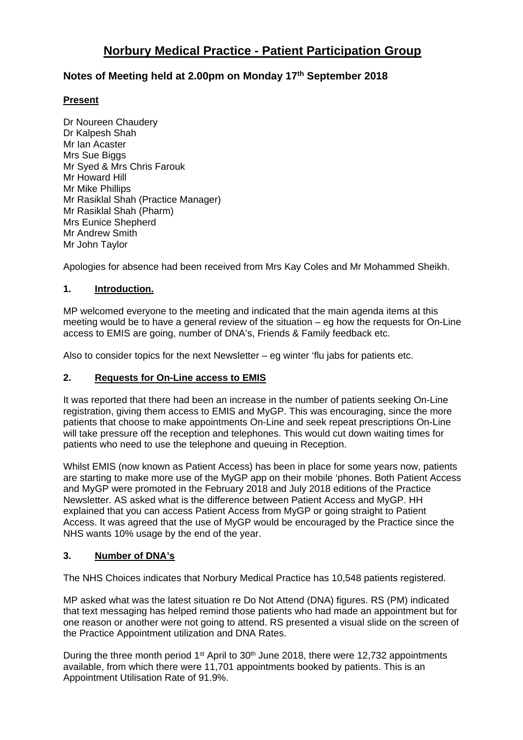# **Norbury Medical Practice - Patient Participation Group**

## **Notes of Meeting held at 2.00pm on Monday 17th September 2018**

### **Present**

Dr Noureen Chaudery Dr Kalpesh Shah Mr Ian Acaster Mrs Sue Biggs Mr Syed & Mrs Chris Farouk Mr Howard Hill Mr Mike Phillips Mr Rasiklal Shah (Practice Manager) Mr Rasiklal Shah (Pharm) Mrs Eunice Shepherd Mr Andrew Smith Mr John Taylor

Apologies for absence had been received from Mrs Kay Coles and Mr Mohammed Sheikh.

## **1. Introduction.**

MP welcomed everyone to the meeting and indicated that the main agenda items at this meeting would be to have a general review of the situation – eg how the requests for On-Line access to EMIS are going, number of DNA's, Friends & Family feedback etc.

Also to consider topics for the next Newsletter  $-$  eq winter 'flu jabs for patients etc.

## **2. Requests for On-Line access to EMIS**

It was reported that there had been an increase in the number of patients seeking On-Line registration, giving them access to EMIS and MyGP. This was encouraging, since the more patients that choose to make appointments On-Line and seek repeat prescriptions On-Line will take pressure off the reception and telephones. This would cut down waiting times for patients who need to use the telephone and queuing in Reception.

Whilst EMIS (now known as Patient Access) has been in place for some years now, patients are starting to make more use of the MyGP app on their mobile 'phones. Both Patient Access and MyGP were promoted in the February 2018 and July 2018 editions of the Practice Newsletter. AS asked what is the difference between Patient Access and MyGP. HH explained that you can access Patient Access from MyGP or going straight to Patient Access. It was agreed that the use of MyGP would be encouraged by the Practice since the NHS wants 10% usage by the end of the year.

#### **3. Number of DNA's**

The NHS Choices indicates that Norbury Medical Practice has 10,548 patients registered.

MP asked what was the latest situation re Do Not Attend (DNA) figures. RS (PM) indicated that text messaging has helped remind those patients who had made an appointment but for one reason or another were not going to attend. RS presented a visual slide on the screen of the Practice Appointment utilization and DNA Rates.

During the three month period 1<sup>st</sup> April to  $30<sup>th</sup>$  June 2018, there were 12,732 appointments available, from which there were 11,701 appointments booked by patients. This is an Appointment Utilisation Rate of 91.9%.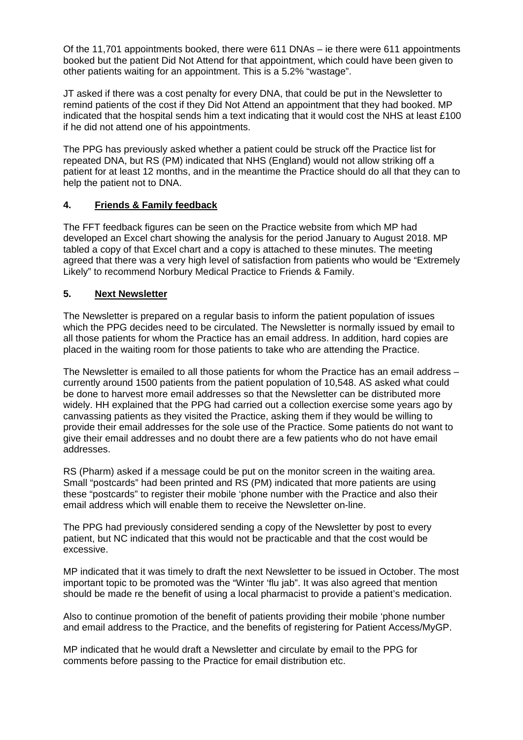Of the 11,701 appointments booked, there were 611 DNAs – ie there were 611 appointments booked but the patient Did Not Attend for that appointment, which could have been given to other patients waiting for an appointment. This is a 5.2% "wastage".

JT asked if there was a cost penalty for every DNA, that could be put in the Newsletter to remind patients of the cost if they Did Not Attend an appointment that they had booked. MP indicated that the hospital sends him a text indicating that it would cost the NHS at least £100 if he did not attend one of his appointments.

The PPG has previously asked whether a patient could be struck off the Practice list for repeated DNA, but RS (PM) indicated that NHS (England) would not allow striking off a patient for at least 12 months, and in the meantime the Practice should do all that they can to help the patient not to DNA.

## **4. Friends & Family feedback**

The FFT feedback figures can be seen on the Practice website from which MP had developed an Excel chart showing the analysis for the period January to August 2018. MP tabled a copy of that Excel chart and a copy is attached to these minutes. The meeting agreed that there was a very high level of satisfaction from patients who would be "Extremely Likely" to recommend Norbury Medical Practice to Friends & Family.

#### **5. Next Newsletter**

The Newsletter is prepared on a regular basis to inform the patient population of issues which the PPG decides need to be circulated. The Newsletter is normally issued by email to all those patients for whom the Practice has an email address. In addition, hard copies are placed in the waiting room for those patients to take who are attending the Practice.

The Newsletter is emailed to all those patients for whom the Practice has an email address – currently around 1500 patients from the patient population of 10,548. AS asked what could be done to harvest more email addresses so that the Newsletter can be distributed more widely. HH explained that the PPG had carried out a collection exercise some years ago by canvassing patients as they visited the Practice, asking them if they would be willing to provide their email addresses for the sole use of the Practice. Some patients do not want to give their email addresses and no doubt there are a few patients who do not have email addresses.

RS (Pharm) asked if a message could be put on the monitor screen in the waiting area. Small "postcards" had been printed and RS (PM) indicated that more patients are using these "postcards" to register their mobile 'phone number with the Practice and also their email address which will enable them to receive the Newsletter on-line.

The PPG had previously considered sending a copy of the Newsletter by post to every patient, but NC indicated that this would not be practicable and that the cost would be excessive.

MP indicated that it was timely to draft the next Newsletter to be issued in October. The most important topic to be promoted was the "Winter 'flu jab". It was also agreed that mention should be made re the benefit of using a local pharmacist to provide a patient's medication.

Also to continue promotion of the benefit of patients providing their mobile 'phone number and email address to the Practice, and the benefits of registering for Patient Access/MyGP.

MP indicated that he would draft a Newsletter and circulate by email to the PPG for comments before passing to the Practice for email distribution etc.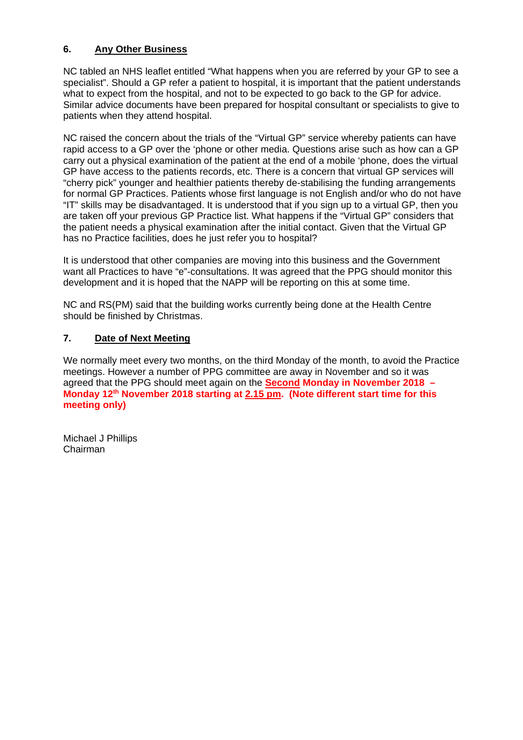## **6. Any Other Business**

NC tabled an NHS leaflet entitled "What happens when you are referred by your GP to see a specialist". Should a GP refer a patient to hospital, it is important that the patient understands what to expect from the hospital, and not to be expected to go back to the GP for advice. Similar advice documents have been prepared for hospital consultant or specialists to give to patients when they attend hospital.

NC raised the concern about the trials of the "Virtual GP" service whereby patients can have rapid access to a GP over the 'phone or other media. Questions arise such as how can a GP carry out a physical examination of the patient at the end of a mobile 'phone, does the virtual GP have access to the patients records, etc. There is a concern that virtual GP services will "cherry pick" younger and healthier patients thereby de-stabilising the funding arrangements for normal GP Practices. Patients whose first language is not English and/or who do not have "IT" skills may be disadvantaged. It is understood that if you sign up to a virtual GP, then you are taken off your previous GP Practice list. What happens if the "Virtual GP" considers that the patient needs a physical examination after the initial contact. Given that the Virtual GP has no Practice facilities, does he just refer you to hospital?

It is understood that other companies are moving into this business and the Government want all Practices to have "e"-consultations. It was agreed that the PPG should monitor this development and it is hoped that the NAPP will be reporting on this at some time.

NC and RS(PM) said that the building works currently being done at the Health Centre should be finished by Christmas.

## **7. Date of Next Meeting**

We normally meet every two months, on the third Monday of the month, to avoid the Practice meetings. However a number of PPG committee are away in November and so it was agreed that the PPG should meet again on the **Second Monday in November 2018 – Monday 12th November 2018 starting at 2.15 pm. (Note different start time for this meeting only)**

Michael J Phillips Chairman